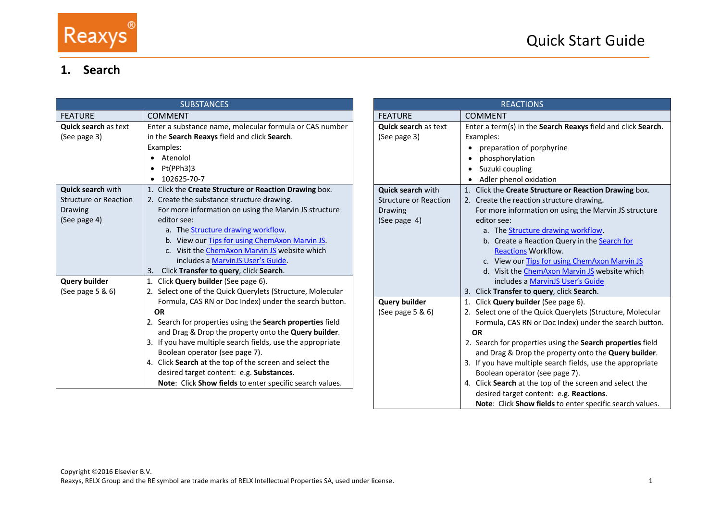

#### **1. Search**

| <b>SUBSTANCES</b>            |                                                                                                                    |  |  |  |  |
|------------------------------|--------------------------------------------------------------------------------------------------------------------|--|--|--|--|
| <b>FEATURE</b>               | <b>COMMENT</b>                                                                                                     |  |  |  |  |
| <b>Quick search as text</b>  | Enter a substance name, molecular formula or CAS number                                                            |  |  |  |  |
| (See page 3)                 | in the Search Reaxys field and click Search.                                                                       |  |  |  |  |
|                              | Examples:                                                                                                          |  |  |  |  |
|                              | Atenolol                                                                                                           |  |  |  |  |
|                              | Pt(PPh3)3                                                                                                          |  |  |  |  |
|                              | 102625-70-7                                                                                                        |  |  |  |  |
| <b>Quick search with</b>     | 1. Click the Create Structure or Reaction Drawing box.                                                             |  |  |  |  |
| <b>Structure or Reaction</b> | 2. Create the substance structure drawing.                                                                         |  |  |  |  |
| Drawing                      | For more information on using the Marvin JS structure                                                              |  |  |  |  |
| (See page 4)                 | editor see:                                                                                                        |  |  |  |  |
|                              | a. The Structure drawing workflow.                                                                                 |  |  |  |  |
|                              | b. View our Tips for using ChemAxon Marvin JS.                                                                     |  |  |  |  |
|                              | c. Visit the ChemAxon Marvin JS website which                                                                      |  |  |  |  |
|                              | includes a MarvinJS User's Guide.                                                                                  |  |  |  |  |
|                              | Click Transfer to query, click Search.<br>3.                                                                       |  |  |  |  |
| <b>Query builder</b>         | 1. Click Query builder (See page 6).                                                                               |  |  |  |  |
| (See page 5 & 6)             | 2. Select one of the Quick Querylets (Structure, Molecular                                                         |  |  |  |  |
|                              | Formula, CAS RN or Doc Index) under the search button.                                                             |  |  |  |  |
|                              | <b>OR</b>                                                                                                          |  |  |  |  |
|                              | 2. Search for properties using the Search properties field                                                         |  |  |  |  |
|                              | and Drag & Drop the property onto the Query builder.<br>3. If you have multiple search fields, use the appropriate |  |  |  |  |
|                              | Boolean operator (see page 7).                                                                                     |  |  |  |  |
|                              | 4. Click Search at the top of the screen and select the                                                            |  |  |  |  |
|                              | desired target content: e.g. Substances.                                                                           |  |  |  |  |
|                              | Note: Click Show fields to enter specific search values.                                                           |  |  |  |  |
|                              |                                                                                                                    |  |  |  |  |

| <b>REACTIONS</b>                                                                    |                                                                                                                                                                                                                                                                                                                                                                                                                                                                                                                           |  |  |  |
|-------------------------------------------------------------------------------------|---------------------------------------------------------------------------------------------------------------------------------------------------------------------------------------------------------------------------------------------------------------------------------------------------------------------------------------------------------------------------------------------------------------------------------------------------------------------------------------------------------------------------|--|--|--|
| <b>FEATURE</b>                                                                      | <b>COMMENT</b>                                                                                                                                                                                                                                                                                                                                                                                                                                                                                                            |  |  |  |
| <b>Quick search as text</b><br>(See page 3)                                         | Enter a term(s) in the Search Reaxys field and click Search.<br>Examples:<br>preparation of porphyrine<br>phosphorylation<br>Suzuki coupling<br>Adler phenol oxidation                                                                                                                                                                                                                                                                                                                                                    |  |  |  |
| <b>Quick search with</b><br><b>Structure or Reaction</b><br>Drawing<br>(See page 4) | 1. Click the Create Structure or Reaction Drawing box.<br>2. Create the reaction structure drawing.<br>For more information on using the Marvin JS structure<br>editor see:<br>a. The Structure drawing workflow.<br>b. Create a Reaction Query in the Search for<br><b>Reactions Workflow.</b><br>c. View our Tips for using ChemAxon Marvin JS<br>d. Visit the ChemAxon Marvin JS website which<br>includes a MarvinJS User's Guide<br>3. Click Transfer to query, click Search.                                        |  |  |  |
| <b>Query builder</b>                                                                | 1. Click Query builder (See page 6).                                                                                                                                                                                                                                                                                                                                                                                                                                                                                      |  |  |  |
| (See page 5 & 6)                                                                    | 2. Select one of the Quick Querylets (Structure, Molecular<br>Formula, CAS RN or Doc Index) under the search button.<br><b>OR</b><br>2. Search for properties using the Search properties field<br>and Drag & Drop the property onto the Query builder.<br>3. If you have multiple search fields, use the appropriate<br>Boolean operator (see page 7).<br>4. Click Search at the top of the screen and select the<br>desired target content: e.g. Reactions.<br>Note: Click Show fields to enter specific search values. |  |  |  |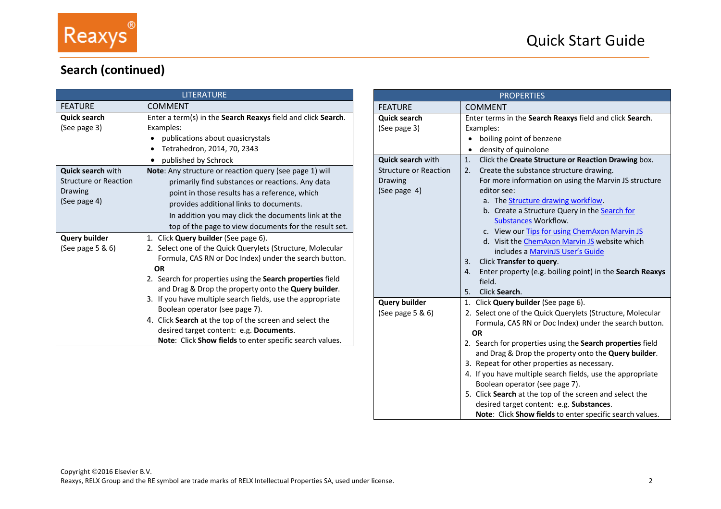

## **Search (continued)**

| <b>LITERATURE</b>                                                                   |                                                                                                                                                                                                                                                                                                                                                                                                                                                                                                                                                                           |  |  |  |
|-------------------------------------------------------------------------------------|---------------------------------------------------------------------------------------------------------------------------------------------------------------------------------------------------------------------------------------------------------------------------------------------------------------------------------------------------------------------------------------------------------------------------------------------------------------------------------------------------------------------------------------------------------------------------|--|--|--|
| <b>FEATURE</b>                                                                      | <b>COMMENT</b>                                                                                                                                                                                                                                                                                                                                                                                                                                                                                                                                                            |  |  |  |
| <b>Quick search</b><br>(See page 3)                                                 | Enter a term(s) in the Search Reaxys field and click Search.<br>Examples:                                                                                                                                                                                                                                                                                                                                                                                                                                                                                                 |  |  |  |
|                                                                                     | publications about quasicrystals<br>Tetrahedron, 2014, 70, 2343<br>published by Schrock                                                                                                                                                                                                                                                                                                                                                                                                                                                                                   |  |  |  |
| <b>Quick search with</b><br><b>Structure or Reaction</b><br>Drawing<br>(See page 4) | <b>Note:</b> Any structure or reaction query (see page 1) will<br>primarily find substances or reactions. Any data<br>point in those results has a reference, which<br>provides additional links to documents.<br>In addition you may click the documents link at the<br>top of the page to view documents for the result set.                                                                                                                                                                                                                                            |  |  |  |
| <b>Query builder</b><br>(See page 5 & 6)                                            | 1. Click Query builder (See page 6).<br>2. Select one of the Quick Querylets (Structure, Molecular<br>Formula, CAS RN or Doc Index) under the search button.<br>OR<br>2. Search for properties using the <b>Search properties</b> field<br>and Drag & Drop the property onto the <b>Query builder</b> .<br>3. If you have multiple search fields, use the appropriate<br>Boolean operator (see page 7).<br>4. Click Search at the top of the screen and select the<br>desired target content: e.g. Documents.<br>Note: Click Show fields to enter specific search values. |  |  |  |

|                              | <b>PROPERTIES</b>                                                        |
|------------------------------|--------------------------------------------------------------------------|
| <b>FEATURE</b>               | <b>COMMENT</b>                                                           |
| <b>Quick search</b>          | Enter terms in the Search Reaxys field and click Search.                 |
| (See page 3)                 | Examples:                                                                |
|                              | boiling point of benzene<br>$\bullet$                                    |
|                              | density of quinolone<br>$\bullet$                                        |
| <b>Quick search with</b>     | Click the Create Structure or Reaction Drawing box.<br>1.                |
| <b>Structure or Reaction</b> | Create the substance structure drawing.<br>2.                            |
| Drawing                      | For more information on using the Marvin JS structure                    |
| (See page 4)                 | editor see:                                                              |
|                              | a. The <b>Structure drawing workflow</b> .                               |
|                              | b. Create a Structure Query in the Search for                            |
|                              | <b>Substances Workflow.</b>                                              |
|                              | c. View our Tips for using ChemAxon Marvin JS                            |
|                              | d. Visit the ChemAxon Marvin JS website which                            |
|                              | includes a MarvinJS User's Guide                                         |
|                              | Click Transfer to query.<br>3.                                           |
|                              | Enter property (e.g. boiling point) in the Search Reaxys<br>4.<br>field. |
|                              | Click Search.<br>5.                                                      |
| <b>Query builder</b>         | 1. Click Query builder (See page 6).                                     |
| (See page 5 & 6)             | 2. Select one of the Quick Querylets (Structure, Molecular               |
|                              | Formula, CAS RN or Doc Index) under the search button.                   |
|                              | <b>OR</b>                                                                |
|                              | 2. Search for properties using the Search properties field               |
|                              | and Drag & Drop the property onto the Query builder.                     |
|                              | 3. Repeat for other properties as necessary.                             |
|                              | 4. If you have multiple search fields, use the appropriate               |
|                              | Boolean operator (see page 7).                                           |
|                              | 5. Click Search at the top of the screen and select the                  |
|                              | desired target content: e.g. Substances.                                 |
|                              | Note: Click Show fields to enter specific search values.                 |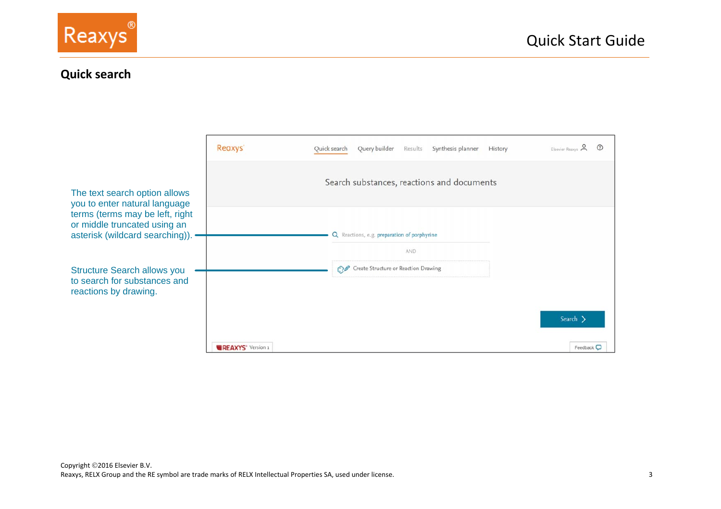

#### **Quick search**

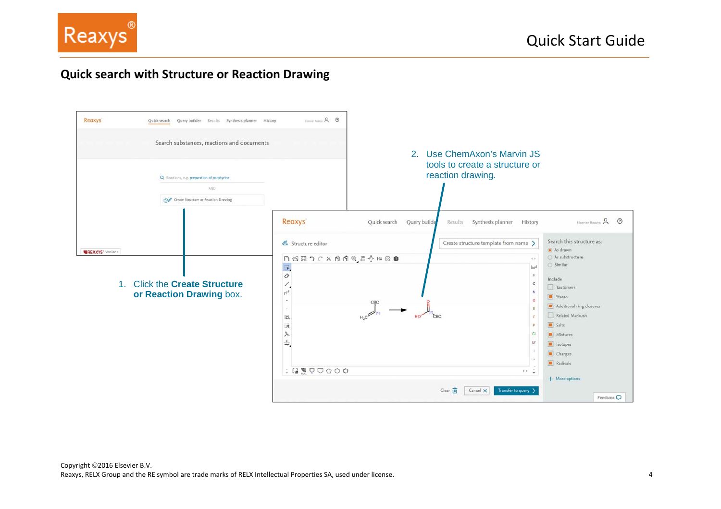

### **Quick search with Structure or Reaction Drawing**

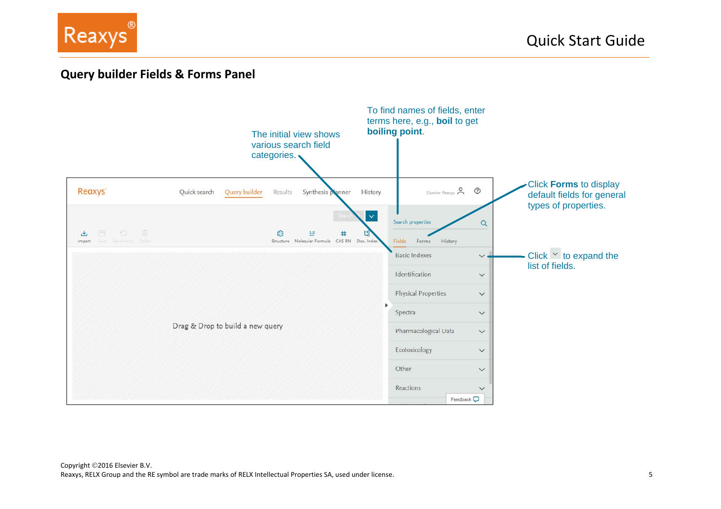

#### **Query builder Fields & Forms Panel**

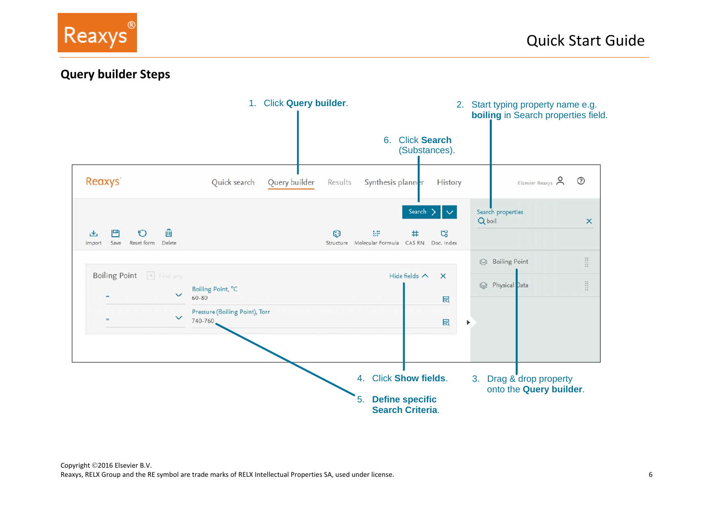

#### **Query builder Steps**

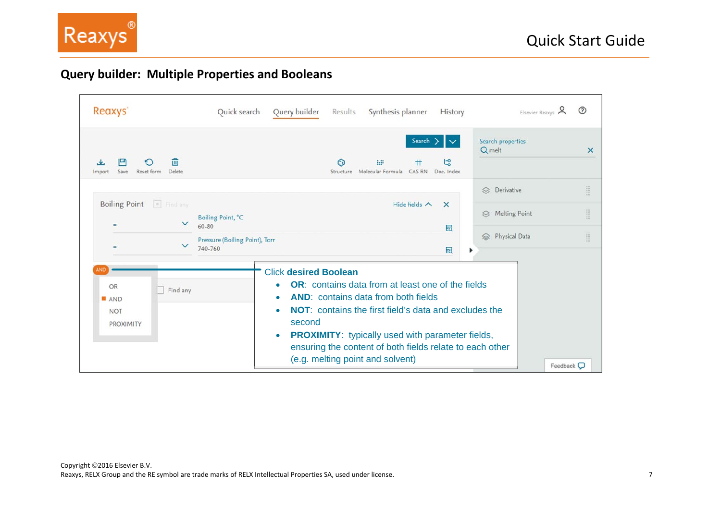

# **Query builder: Multiple Properties and Booleans**

| Reaxys <sup>®</sup>                                            | Query builder<br>Quick search<br>Results<br>Synthesis planner<br>History                                                                                                                                                                                                                                                                                                                 | Elsevier Reaxys 8<br>$\odot$                                                                                                                                                                                                                                                                                                                                                                                                                                                                                                                                                                                            |
|----------------------------------------------------------------|------------------------------------------------------------------------------------------------------------------------------------------------------------------------------------------------------------------------------------------------------------------------------------------------------------------------------------------------------------------------------------------|-------------------------------------------------------------------------------------------------------------------------------------------------------------------------------------------------------------------------------------------------------------------------------------------------------------------------------------------------------------------------------------------------------------------------------------------------------------------------------------------------------------------------------------------------------------------------------------------------------------------------|
| 侖<br>Delete<br>Reset form<br>Save<br>Import                    | Search<br>ピ<br>w<br>♯<br>Molecular Formula<br>CAS RN Doc. Index<br>Structure                                                                                                                                                                                                                                                                                                             | Search properties<br>Q melt<br>$\times$                                                                                                                                                                                                                                                                                                                                                                                                                                                                                                                                                                                 |
|                                                                |                                                                                                                                                                                                                                                                                                                                                                                          | $\cdots$<br>S Derivative                                                                                                                                                                                                                                                                                                                                                                                                                                                                                                                                                                                                |
| Boiling Point Find any<br>$\checkmark$<br>$=$                  | Hide fields $\wedge$<br>$\times$<br>Boiling Point, °C<br>$60 - 80$<br>囩                                                                                                                                                                                                                                                                                                                  | $\begin{minipage}{.4\linewidth} \begin{minipage}{.4\linewidth} \centering \begin{minipage}{.4\linewidth} \centering \end{minipage} \end{minipage} \begin{minipage}{.4\linewidth} \centering \begin{minipage}{.4\linewidth} \centering \end{minipage} \end{minipage} \begin{minipage}{.4\linewidth} \centering \begin{minipage}{.4\linewidth} \centering \end{minipage} \end{minipage} \begin{minipage}{.4\linewidth} \centering \begin{minipage}{.4\linewidth} \centering \end{minipage} \end{minipage} \begin{minipage}{.4\linewidth} \centering \begin{minipage}{.4\linewidth} \centering \center$<br>S Melting Point |
| $\checkmark$<br>$=$                                            | Pressure (Boiling Point), Torr<br>740-760<br>园                                                                                                                                                                                                                                                                                                                                           | H<br>Physical Data                                                                                                                                                                                                                                                                                                                                                                                                                                                                                                                                                                                                      |
| <b>OR</b><br>Find any<br><b>AND</b><br><b>NOT</b><br>PROXIMITY | <b>Click desired Boolean</b><br><b>OR:</b> contains data from at least one of the fields<br><b>AND:</b> contains data from both fields<br><b>NOT:</b> contains the first field's data and excludes the<br>second<br><b>PROXIMITY:</b> typically used with parameter fields,<br>$\bullet$<br>ensuring the content of both fields relate to each other<br>(e.g. melting point and solvent) | Feedback $\Box$                                                                                                                                                                                                                                                                                                                                                                                                                                                                                                                                                                                                         |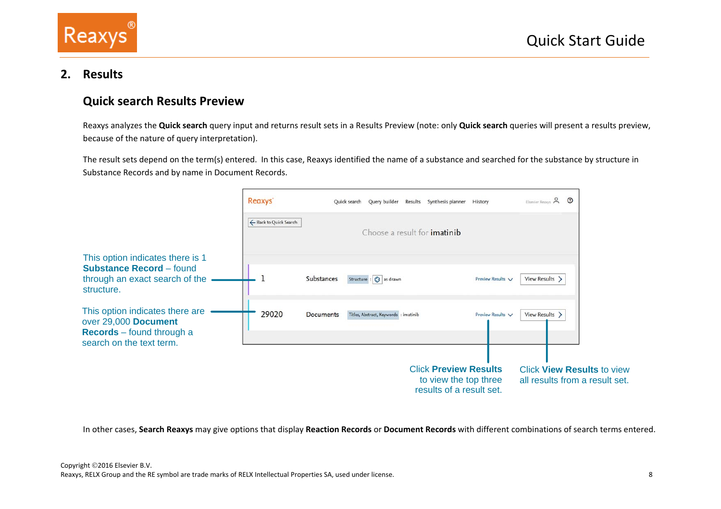

#### **2. Results**

#### **Quick search Results Preview**

Reaxys analyzes the **Quick search** query input and returns result sets in <sup>a</sup> Results Preview (note: only **Quick search** queries will present <sup>a</sup> results preview, because of the nature of query interpretation).

The result sets depend on the term(s) entered. In this case, Reaxys identified the name of <sup>a</sup> substance and searched for the substance by structure in Substance Records and by name in Document Records.

|                                                                                                                         | <b>Reaxys</b>          |                  | Quick search | Query builder                         | Results Synthesis planner History                                                 |                   | Elsevier Reavys & O                                                 |  |
|-------------------------------------------------------------------------------------------------------------------------|------------------------|------------------|--------------|---------------------------------------|-----------------------------------------------------------------------------------|-------------------|---------------------------------------------------------------------|--|
|                                                                                                                         | ← Back to Quick Search |                  |              |                                       | Choose a result for <b>imatinib</b>                                               |                   |                                                                     |  |
| This option indicates there is 1<br><b>Substance Record - found</b><br>through an exact search of the<br>structure.     |                        | Substances       |              | Structure : 3 as drawn                |                                                                                   | Preview Results V | View Results >                                                      |  |
| This option indicates there are<br>over 29,000 Document<br><b>Records</b> – found through a<br>search on the text term. | 29020                  | <b>Documents</b> |              | Titles, Abstract, Keywords : imatinib |                                                                                   | Preview Results V | View Results >                                                      |  |
|                                                                                                                         |                        |                  |              |                                       | <b>Click Preview Results</b><br>to view the top three<br>results of a result set. |                   | <b>Click View Results to view</b><br>all results from a result set. |  |

In other cases, **Search Reaxys** may give options that display **Reaction Records** or **Document Records** with different combinations of search terms entered.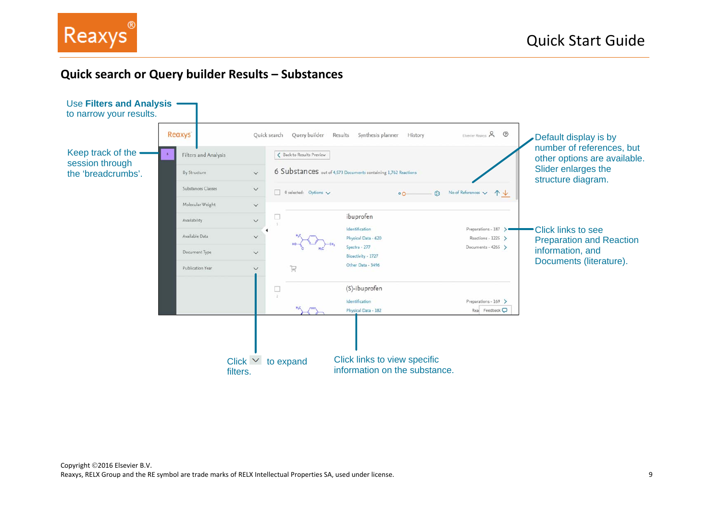

#### **Quick search or Query builder Results – Substances**

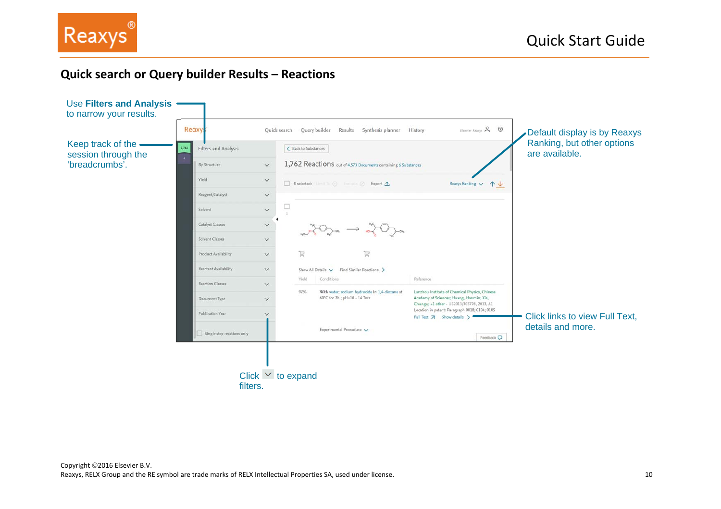

### **Quick search or Query builder Results – Reactions**

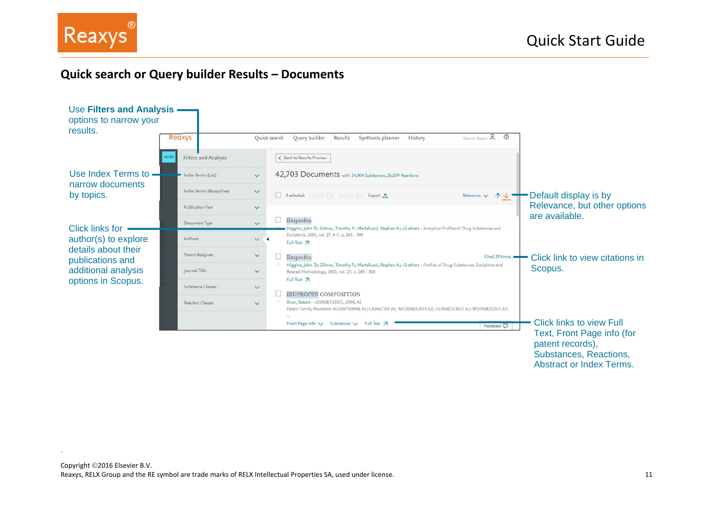



#### **Quick search or Query builder Results – Documents**

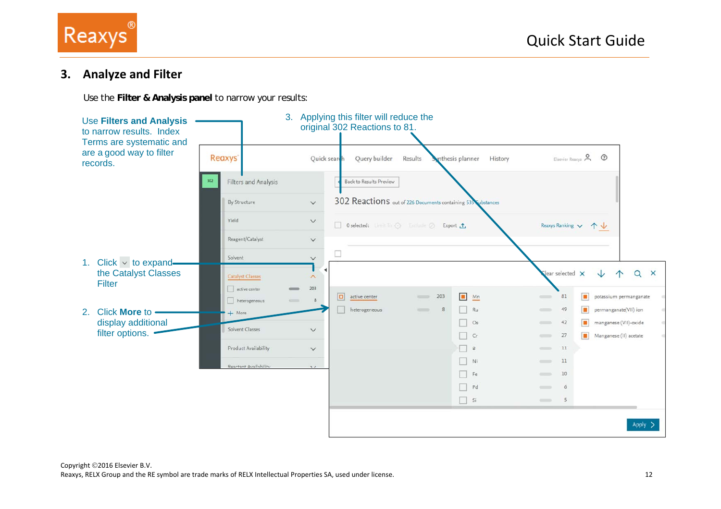

#### **3.Analyze and Filter**

Use the **Filter & Analysis panel** to narrow your results:

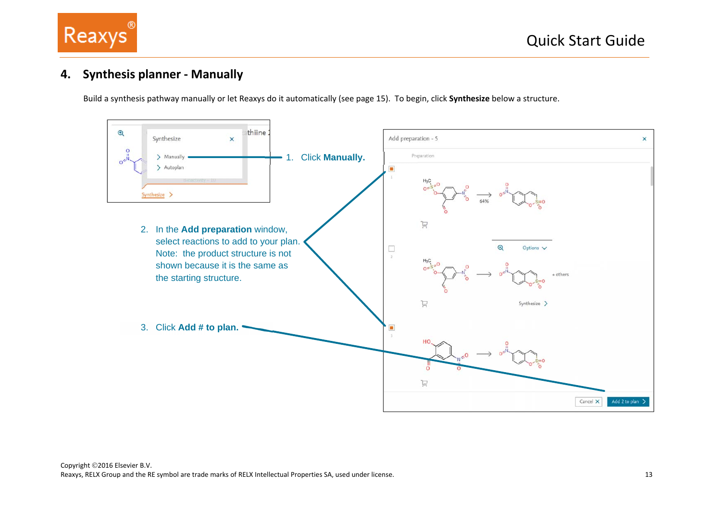

#### **4.Synthesis planner ‐ Manually**

Build <sup>a</sup> synthesis pathway manually or let Reaxys do it automatically (see page 15). To begin, click **Synthesize** below <sup>a</sup> structure.

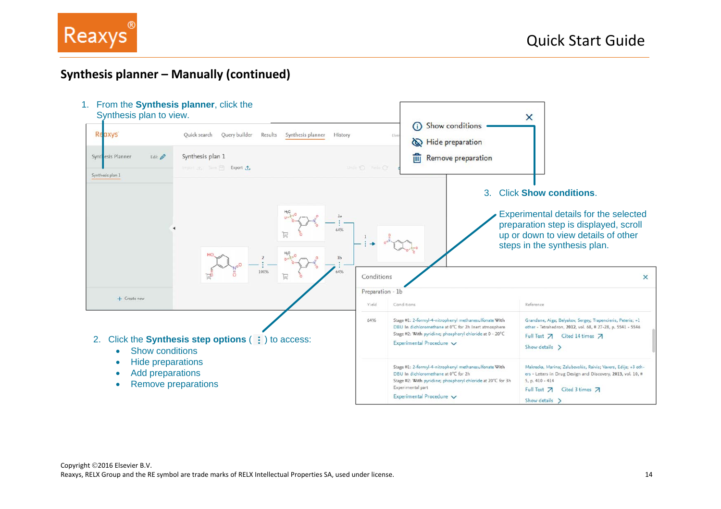

### **Synthesis planner – Manually (continued)**

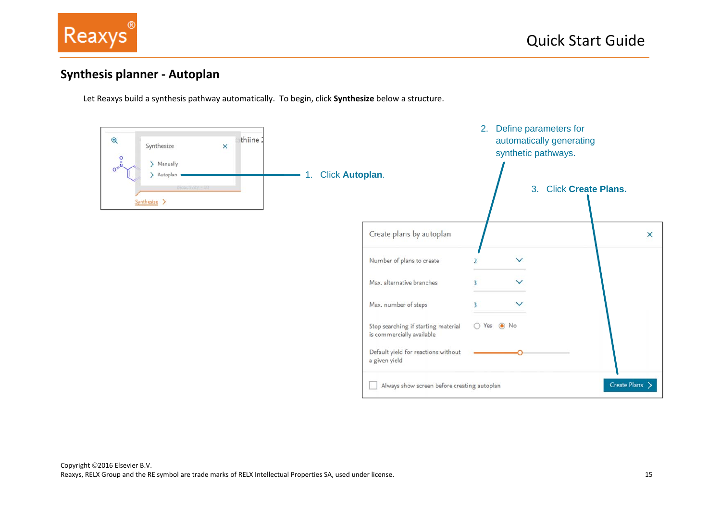

#### **Synthesis planner ‐ Autoplan**

Let Reaxys build <sup>a</sup> synthesis pathway automatically. To begin, click **Synthesize** below <sup>a</sup> structure.

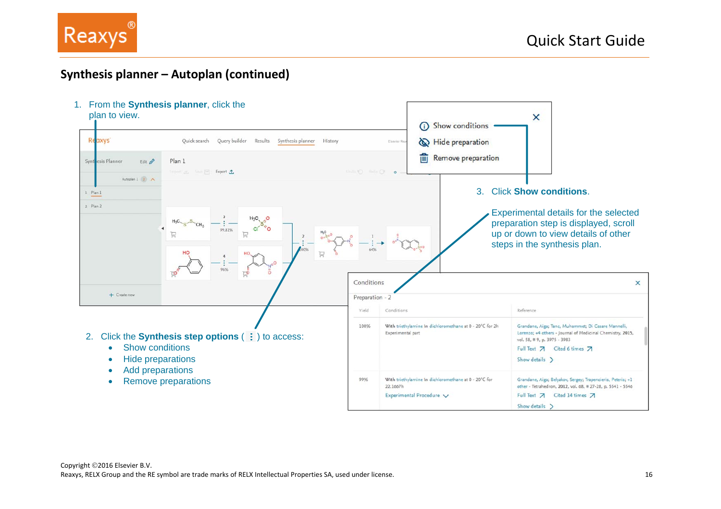

### **Synthesis planner – Autoplan (continued)**

1. From the **Synthesis planner**, click the